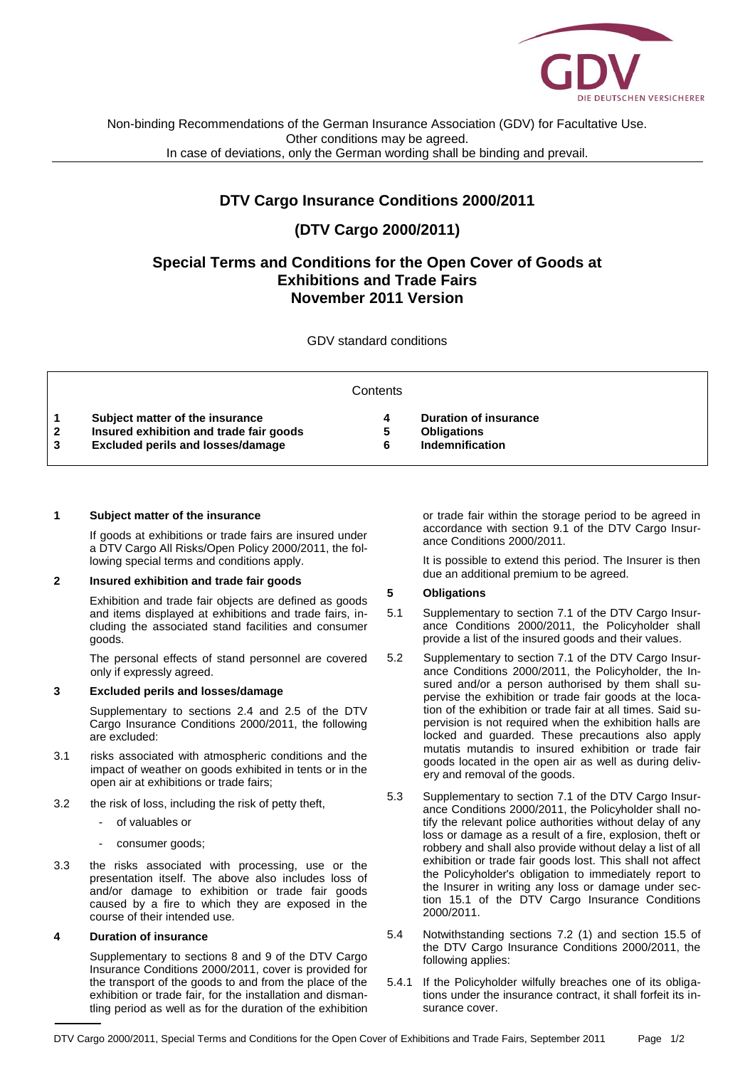

Non-binding Recommendations of the German Insurance Association (GDV) for Facultative Use. Other conditions may be agreed. In case of deviations, only the German wording shall be binding and prevail.

## **DTV Cargo Insurance Conditions 2000/2011**

# **(DTV Cargo 2000/2011)**

## **Special Terms and Conditions for the Open Cover of Goods at Exhibitions and Trade Fairs November 2011 Version**

GDV standard conditions

| Contents     |                                          |    |                              |  |
|--------------|------------------------------------------|----|------------------------------|--|
|              | Subject matter of the insurance          |    | <b>Duration of insurance</b> |  |
| $\mathbf{2}$ | Insured exhibition and trade fair goods  | b. | <b>Obligations</b>           |  |
| 3            | <b>Excluded perils and losses/damage</b> |    | Indemnification              |  |
|              |                                          |    |                              |  |

#### **1 Subject matter of the insurance**

If goods at exhibitions or trade fairs are insured under a DTV Cargo All Risks/Open Policy 2000/2011, the following special terms and conditions apply.

#### **2 Insured exhibition and trade fair goods**

Exhibition and trade fair objects are defined as goods and items displayed at exhibitions and trade fairs, including the associated stand facilities and consumer goods.

The personal effects of stand personnel are covered only if expressly agreed.

#### **3 Excluded perils and losses/damage**

Supplementary to sections 2.4 and 2.5 of the DTV Cargo Insurance Conditions 2000/2011, the following are excluded:

- 3.1 risks associated with atmospheric conditions and the impact of weather on goods exhibited in tents or in the open air at exhibitions or trade fairs;
- 3.2 the risk of loss, including the risk of petty theft,
	- of valuables or
	- consumer goods;
- 3.3 the risks associated with processing, use or the presentation itself. The above also includes loss of and/or damage to exhibition or trade fair goods caused by a fire to which they are exposed in the course of their intended use.

#### **4 Duration of insurance**

Supplementary to sections 8 and 9 of the DTV Cargo Insurance Conditions 2000/2011, cover is provided for the transport of the goods to and from the place of the exhibition or trade fair, for the installation and dismantling period as well as for the duration of the exhibition or trade fair within the storage period to be agreed in accordance with section 9.1 of the DTV Cargo Insurance Conditions 2000/2011.

It is possible to extend this period. The Insurer is then due an additional premium to be agreed.

### **5 Obligations**

- 5.1 Supplementary to section 7.1 of the DTV Cargo Insurance Conditions 2000/2011, the Policyholder shall provide a list of the insured goods and their values.
- 5.2 Supplementary to section 7.1 of the DTV Cargo Insurance Conditions 2000/2011, the Policyholder, the Insured and/or a person authorised by them shall supervise the exhibition or trade fair goods at the location of the exhibition or trade fair at all times. Said supervision is not required when the exhibition halls are locked and guarded. These precautions also apply mutatis mutandis to insured exhibition or trade fair goods located in the open air as well as during delivery and removal of the goods.
- 5.3 Supplementary to section 7.1 of the DTV Cargo Insurance Conditions 2000/2011, the Policyholder shall notify the relevant police authorities without delay of any loss or damage as a result of a fire, explosion, theft or robbery and shall also provide without delay a list of all exhibition or trade fair goods lost. This shall not affect the Policyholder's obligation to immediately report to the Insurer in writing any loss or damage under section 15.1 of the DTV Cargo Insurance Conditions 2000/2011.
- 5.4 Notwithstanding sections 7.2 (1) and section 15.5 of the DTV Cargo Insurance Conditions 2000/2011, the following applies:
- 5.4.1 If the Policyholder wilfully breaches one of its obligations under the insurance contract, it shall forfeit its insurance cover.